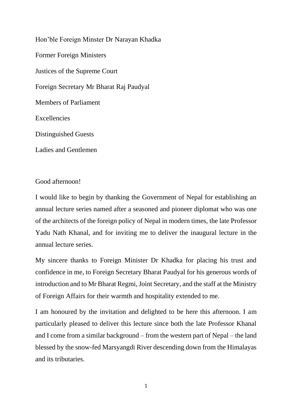Hon'ble Foreign Minster Dr Narayan Khadka Former Foreign Ministers Justices of the Supreme Court Foreign Secretary Mr Bharat Raj Paudyal Members of Parliament Excellencies Distinguished Guests Ladies and Gentlemen

Good afternoon!

I would like to begin by thanking the Government of Nepal for establishing an annual lecture series named after a seasoned and pioneer diplomat who was one of the architects of the foreign policy of Nepal in modern times, the late Professor Yadu Nath Khanal, and for inviting me to deliver the inaugural lecture in the annual lecture series.

My sincere thanks to Foreign Minister Dr Khadka for placing his trust and confidence in me, to Foreign Secretary Bharat Paudyal for his generous words of introduction and to Mr Bharat Regmi, Joint Secretary, and the staff at the Ministry of Foreign Affairs for their warmth and hospitality extended to me.

I am honoured by the invitation and delighted to be here this afternoon. I am particularly pleased to deliver this lecture since both the late Professor Khanal and I come from a similar background – from the western part of Nepal – the land blessed by the snow-fed Marsyangdi River descending down from the Himalayas and its tributaries.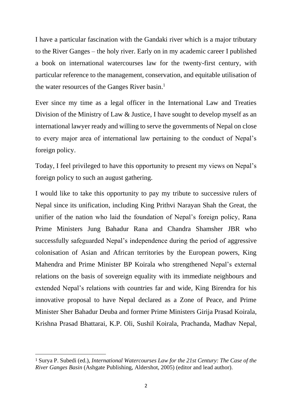I have a particular fascination with the Gandaki river which is a major tributary to the River Ganges – the holy river. Early on in my academic career I published a book on international watercourses law for the twenty-first century, with particular reference to the management, conservation, and equitable utilisation of the water resources of the Ganges River basin. 1

Ever since my time as a legal officer in the International Law and Treaties Division of the Ministry of Law & Justice, I have sought to develop myself as an international lawyer ready and willing to serve the governments of Nepal on close to every major area of international law pertaining to the conduct of Nepal's foreign policy.

Today, I feel privileged to have this opportunity to present my views on Nepal's foreign policy to such an august gathering.

I would like to take this opportunity to pay my tribute to successive rulers of Nepal since its unification, including King Prithvi Narayan Shah the Great, the unifier of the nation who laid the foundation of Nepal's foreign policy, Rana Prime Ministers Jung Bahadur Rana and Chandra Shamsher JBR who successfully safeguarded Nepal's independence during the period of aggressive colonisation of Asian and African territories by the European powers, King Mahendra and Prime Minister BP Koirala who strengthened Nepal's external relations on the basis of sovereign equality with its immediate neighbours and extended Nepal's relations with countries far and wide, King Birendra for his innovative proposal to have Nepal declared as a Zone of Peace, and Prime Minister Sher Bahadur Deuba and former Prime Ministers Girija Prasad Koirala, Krishna Prasad Bhattarai, K.P. Oli, Sushil Koirala, Prachanda, Madhav Nepal,

<sup>1</sup> Surya P. Subedi (ed.), *International Watercourses Law for the 21st Century: The Case of the River Ganges Basin* (Ashgate Publishing, Aldershot, 2005) (editor and lead author).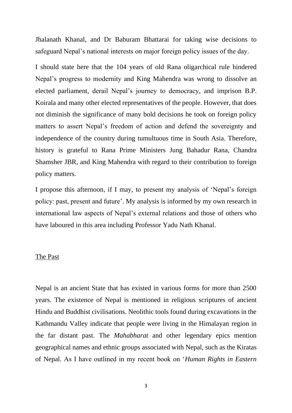Jhalanath Khanal, and Dr Baburam Bhattarai for taking wise decisions to safeguard Nepal's national interests on major foreign policy issues of the day.

I should state here that the 104 years of old Rana oligarchical rule hindered Nepal's progress to modernity and King Mahendra was wrong to dissolve an elected parliament, derail Nepal's journey to democracy, and imprison B.P. Koirala and many other elected representatives of the people. However, that does not diminish the significance of many bold decisions he took on foreign policy matters to assert Nepal's freedom of action and defend the sovereignty and independence of the country during tumultuous time in South Asia. Therefore, history is grateful to Rana Prime Ministers Jung Bahadur Rana, Chandra Shamsher JBR, and King Mahendra with regard to their contribution to foreign policy matters.

I propose this afternoon, if I may, to present my analysis of 'Nepal's foreign policy: past, present and future'. My analysis is informed by my own research in international law aspects of Nepal's external relations and those of others who have laboured in this area including Professor Yadu Nath Khanal.

#### The Past

Nepal is an ancient State that has existed in various forms for more than 2500 years. The existence of Nepal is mentioned in religious scriptures of ancient Hindu and Buddhist civilisations. Neolithic tools found during excavations in the Kathmandu Valley indicate that people were living in the Himalayan region in the far distant past. The *Mahabharat* and other legendary epics mention geographical names and ethnic groups associated with Nepal, such as the Kiratas of Nepal. As I have outlined in my recent book on '*Human Rights in Eastern*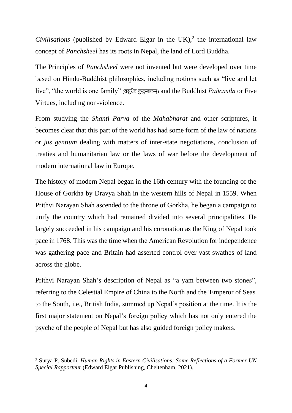$Civilisations$  (published by Edward Elgar in the UK),<sup>2</sup> the international law concept of *Panchsheel* has its roots in Nepal, the land of Lord Buddha.

The Principles of *Panchsheel* were not invented but were developed over time based on Hindu-Buddhist philosophies, including notions such as "live and let live", "the world is one family" (वसुधैव कु टुम्बकम्) and the Buddhist *Pañcasīla* or Five Virtues, including non-violence.

From studying the *Shanti Parva* of the *Mahabharat* and other scriptures, it becomes clear that this part of the world has had some form of the law of nations or *jus gentium* dealing with matters of inter-state negotiations, conclusion of treaties and humanitarian law or the laws of war before the development of modern international law in Europe.

The history of modern Nepal began in the 16th century with the founding of the House of Gorkha by Dravya Shah in the western hills of Nepal in 1559. When Prithvi Narayan Shah ascended to the throne of Gorkha, he began a campaign to unify the country which had remained divided into several principalities. He largely succeeded in his campaign and his coronation as the King of Nepal took pace in 1768. This was the time when the American Revolution for independence was gathering pace and Britain had asserted control over vast swathes of land across the globe.

Prithvi Narayan Shah's description of Nepal as "a yam between two stones", referring to the Celestial Empire of China to the North and the 'Emperor of Seas' to the South, i.e., British India, summed up Nepal's position at the time. It is the first major statement on Nepal's foreign policy which has not only entered the psyche of the people of Nepal but has also guided foreign policy makers.

<sup>2</sup> Surya P. Subedi, *Human Rights in Eastern Civilisations: Some Reflections of a Former UN Special Rapporteur* (Edward Elgar Publishing, Cheltenham, 2021).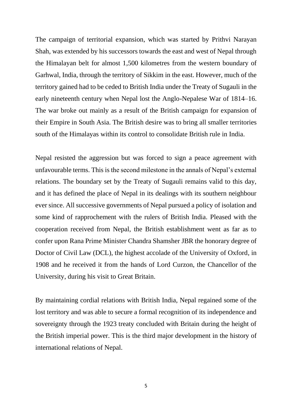The campaign of territorial expansion, which was started by Prithvi Narayan Shah, was extended by his successors towards the east and west of Nepal through the Himalayan belt for almost 1,500 kilometres from the western boundary of Garhwal, India, through the territory of Sikkim in the east. However, much of the territory gained had to be ceded to British India under the Treaty of Sugauli in the early nineteenth century when Nepal lost the Anglo-Nepalese War of 1814–16. The war broke out mainly as a result of the British campaign for expansion of their Empire in South Asia. The British desire was to bring all smaller territories south of the Himalayas within its control to consolidate British rule in India.

Nepal resisted the aggression but was forced to sign a peace agreement with unfavourable terms. This is the second milestone in the annals of Nepal's external relations. The boundary set by the Treaty of Sugauli remains valid to this day, and it has defined the place of Nepal in its dealings with its southern neighbour ever since. All successive governments of Nepal pursued a policy of isolation and some kind of rapprochement with the rulers of British India. Pleased with the cooperation received from Nepal, the British establishment went as far as to confer upon Rana Prime Minister Chandra Shamsher JBR the honorary degree of Doctor of Civil Law (DCL), the highest accolade of the University of Oxford, in 1908 and he received it from the hands of Lord Curzon, the Chancellor of the University, during his visit to Great Britain.

By maintaining cordial relations with British India, Nepal regained some of the lost territory and was able to secure a formal recognition of its independence and sovereignty through the 1923 treaty concluded with Britain during the height of the British imperial power. This is the third major development in the history of international relations of Nepal.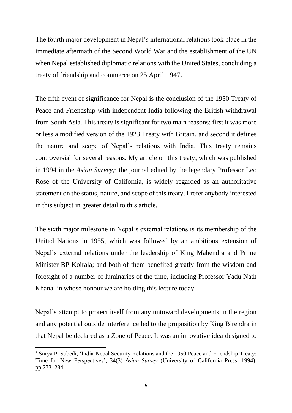The fourth major development in Nepal's international relations took place in the immediate aftermath of the Second World War and the establishment of the UN when Nepal established diplomatic relations with the United States, concluding a treaty of friendship and commerce on 25 April 1947.

The fifth event of significance for Nepal is the conclusion of the 1950 Treaty of Peace and Friendship with independent India following the British withdrawal from South Asia. This treaty is significant for two main reasons: first it was more or less a modified version of the 1923 Treaty with Britain, and second it defines the nature and scope of Nepal's relations with India. This treaty remains controversial for several reasons. My article on this treaty, which was published in 1994 in the *Asian Survey*, 3 the journal edited by the legendary Professor Leo Rose of the University of California, is widely regarded as an authoritative statement on the status, nature, and scope of this treaty. I refer anybody interested in this subject in greater detail to this article.

The sixth major milestone in Nepal's external relations is its membership of the United Nations in 1955, which was followed by an ambitious extension of Nepal's external relations under the leadership of King Mahendra and Prime Minister BP Koirala; and both of them benefited greatly from the wisdom and foresight of a number of luminaries of the time, including Professor Yadu Nath Khanal in whose honour we are holding this lecture today.

Nepal's attempt to protect itself from any untoward developments in the region and any potential outside interference led to the proposition by King Birendra in that Nepal be declared as a Zone of Peace. It was an innovative idea designed to

<sup>3</sup> Surya P. Subedi, 'India-Nepal Security Relations and the 1950 Peace and Friendship Treaty: Time for New Perspectives', 34(3) *Asian Survey* (University of California Press, 1994), pp.273–284.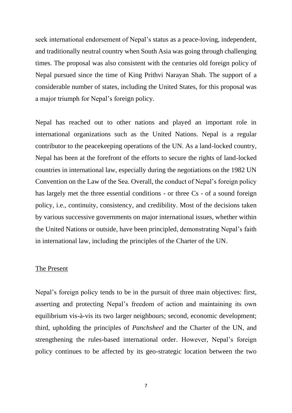seek international endorsement of Nepal's status as a peace-loving, independent, and traditionally neutral country when South Asia was going through challenging times. The proposal was also consistent with the centuries old foreign policy of Nepal pursued since the time of King Prithvi Narayan Shah. The support of a considerable number of states, including the United States, for this proposal was a major triumph for Nepal's foreign policy.

Nepal has reached out to other nations and played an important role in international organizations such as the United Nations. Nepal is a regular contributor to the peacekeeping operations of the UN. As a land-locked country, Nepal has been at the forefront of the efforts to secure the rights of land-locked countries in international law, especially during the negotiations on the 1982 UN Convention on the Law of the Sea. Overall, the conduct of Nepal's foreign policy has largely met the three essential conditions - or three Cs - of a sound foreign policy, i.e., continuity, consistency, and credibility. Most of the decisions taken by various successive governments on major international issues, whether within the United Nations or outside, have been principled, demonstrating Nepal's faith in international law, including the principles of the Charter of the UN.

#### The Present

Nepal's foreign policy tends to be in the pursuit of three main objectives: first, asserting and protecting Nepal's freedom of action and maintaining its own equilibrium vis-à-vis its two larger neighbours; second, economic development; third, upholding the principles of *Panchsheel* and the Charter of the UN, and strengthening the rules-based international order. However, Nepal's foreign policy continues to be affected by its geo-strategic location between the two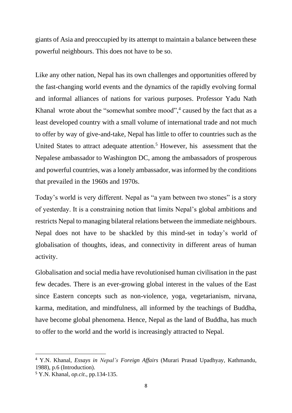giants of Asia and preoccupied by its attempt to maintain a balance between these powerful neighbours. This does not have to be so.

Like any other nation, Nepal has its own challenges and opportunities offered by the fast-changing world events and the dynamics of the rapidly evolving formal and informal alliances of nations for various purposes. Professor Yadu Nath Khanal wrote about the "somewhat sombre mood",<sup>4</sup> caused by the fact that as a least developed country with a small volume of international trade and not much to offer by way of give-and-take, Nepal has little to offer to countries such as the United States to attract adequate attention.<sup>5</sup> However, his assessment that the Nepalese ambassador to Washington DC, among the ambassadors of prosperous and powerful countries, was a lonely ambassador, was informed by the conditions that prevailed in the 1960s and 1970s.

Today's world is very different. Nepal as "a yam between two stones" is a story of yesterday. It is a constraining notion that limits Nepal's global ambitions and restricts Nepal to managing bilateral relations between the immediate neighbours. Nepal does not have to be shackled by this mind-set in today's world of globalisation of thoughts, ideas, and connectivity in different areas of human activity.

Globalisation and social media have revolutionised human civilisation in the past few decades. There is an ever-growing global interest in the values of the East since Eastern concepts such as non-violence, yoga, vegetarianism, nirvana, karma, meditation, and mindfulness, all informed by the teachings of Buddha, have become global phenomena. Hence, Nepal as the land of Buddha, has much to offer to the world and the world is increasingly attracted to Nepal.

<sup>4</sup> Y.N. Khanal, *Essays in Nepal's Foreign Affairs* (Murari Prasad Upadhyay, Kathmandu, 1988), p.6 (Introduction).

<sup>5</sup> Y.N. Khanal, *op.cit*., pp.134-135.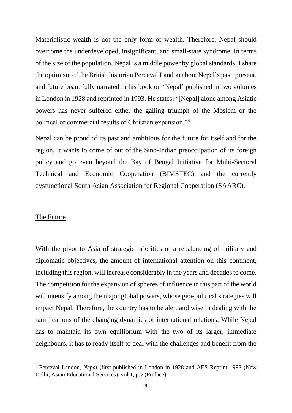Materialistic wealth is not the only form of wealth. Therefore, Nepal should overcome the underdeveloped, insignificant, and small-state syndrome. In terms of the size of the population, Nepal is a middle power by global standards. I share the optimism of the British historian Perceval Landon about Nepal's past, present, and future beautifully narrated in his book on 'Nepal' published in two volumes in London in 1928 and reprinted in 1993. He states: "[Nepal] alone among Asiatic powers has never suffered either the galling triumph of the Moslem or the political or commercial results of Christian expansion."<sup>6</sup>

Nepal can be proud of its past and ambitious for the future for itself and for the region. It wants to come of out of the Sino-Indian preoccupation of its foreign policy and go even beyond the Bay of Bengal Initiative for Multi-Sectoral Technical and Economic Cooperation (BIMSTEC) and the currently dysfunctional South Asian Association for Regional Cooperation (SAARC).

#### The Future

With the pivot to Asia of strategic priorities or a rebalancing of military and diplomatic objectives, the amount of international attention on this continent, including this region, will increase considerably in the years and decades to come. The competition for the expansion of spheres of influence in this part of the world will intensify among the major global powers, whose geo-political strategies will impact Nepal. Therefore, the country has to be alert and wise in dealing with the ramifications of the changing dynamics of international relations. While Nepal has to maintain its own equilibrium with the two of its larger, immediate neighbours, it has to ready itself to deal with the challenges and benefit from the

<sup>6</sup> Perceval Landon, *Nepal* (first published in London in 1928 and AES Reprint 1993 (New Delhi, Asian Educational Services), vol.1, p.v (Preface).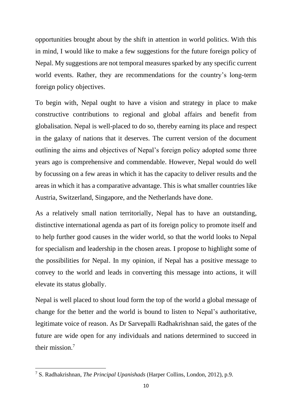opportunities brought about by the shift in attention in world politics. With this in mind, I would like to make a few suggestions for the future foreign policy of Nepal. My suggestions are not temporal measures sparked by any specific current world events. Rather, they are recommendations for the country's long-term foreign policy objectives.

To begin with, Nepal ought to have a vision and strategy in place to make constructive contributions to regional and global affairs and benefit from globalisation. Nepal is well-placed to do so, thereby earning its place and respect in the galaxy of nations that it deserves. The current version of the document outlining the aims and objectives of Nepal's foreign policy adopted some three years ago is comprehensive and commendable. However, Nepal would do well by focussing on a few areas in which it has the capacity to deliver results and the areas in which it has a comparative advantage. This is what smaller countries like Austria, Switzerland, Singapore, and the Netherlands have done.

As a relatively small nation territorially, Nepal has to have an outstanding, distinctive international agenda as part of its foreign policy to promote itself and to help further good causes in the wider world, so that the world looks to Nepal for specialism and leadership in the chosen areas. I propose to highlight some of the possibilities for Nepal. In my opinion, if Nepal has a positive message to convey to the world and leads in converting this message into actions, it will elevate its status globally.

Nepal is well placed to shout loud form the top of the world a global message of change for the better and the world is bound to listen to Nepal's authoritative, legitimate voice of reason. As Dr Sarvepalli Radhakrishnan said, the gates of the future are wide open for any individuals and nations determined to succeed in their mission.<sup>7</sup>

<sup>7</sup> S. Radhakrishnan, *The Principal Upanishads* (Harper Collins, London, 2012), p.9.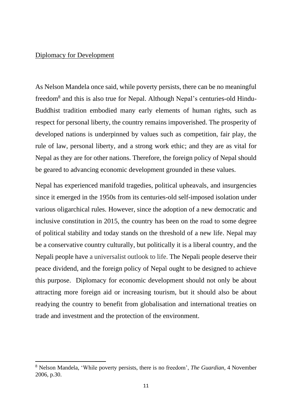## Diplomacy for Development

As Nelson Mandela once said, while poverty persists, there can be no meaningful freedom<sup>8</sup> and this is also true for Nepal. Although Nepal's centuries-old Hindu-Buddhist tradition embodied many early elements of human rights, such as respect for personal liberty, the country remains impoverished. The prosperity of developed nations is underpinned by values such as competition, fair play, the rule of law, personal liberty, and a strong work ethic; and they are as vital for Nepal as they are for other nations. Therefore, the foreign policy of Nepal should be geared to advancing economic development grounded in these values.

Nepal has experienced manifold tragedies, political upheavals, and insurgencies since it emerged in the 1950s from its centuries-old self-imposed isolation under various oligarchical rules. However, since the adoption of a new democratic and inclusive constitution in 2015, the country has been on the road to some degree of political stability and today stands on the threshold of a new life. Nepal may be a conservative country culturally, but politically it is a liberal country, and the Nepali people have a universalist outlook to life. The Nepali people deserve their peace dividend, and the foreign policy of Nepal ought to be designed to achieve this purpose. Diplomacy for economic development should not only be about attracting more foreign aid or increasing tourism, but it should also be about readying the country to benefit from globalisation and international treaties on trade and investment and the protection of the environment.

<sup>8</sup> Nelson Mandela, 'While poverty persists, there is no freedom', *The Guardian*, 4 November 2006, p.30.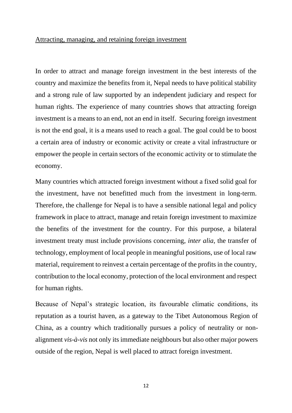#### Attracting, managing, and retaining foreign investment

In order to attract and manage foreign investment in the best interests of the country and maximize the benefits from it, Nepal needs to have political stability and a strong rule of law supported by an independent judiciary and respect for human rights. The experience of many countries shows that attracting foreign investment is a means to an end, not an end in itself. Securing foreign investment is not the end goal, it is a means used to reach a goal. The goal could be to boost a certain area of industry or economic activity or create a vital infrastructure or empower the people in certain sectors of the economic activity or to stimulate the economy.

Many countries which attracted foreign investment without a fixed solid goal for the investment, have not benefitted much from the investment in long-term. Therefore, the challenge for Nepal is to have a sensible national legal and policy framework in place to attract, manage and retain foreign investment to maximize the benefits of the investment for the country. For this purpose, a bilateral investment treaty must include provisions concerning, *inter alia*, the transfer of technology, employment of local people in meaningful positions, use of local raw material, requirement to reinvest a certain percentage of the profits in the country, contribution to the local economy, protection of the local environment and respect for human rights.

Because of Nepal's strategic location, its favourable climatic conditions, its reputation as a tourist haven, as a gateway to the Tibet Autonomous Region of China, as a country which traditionally pursues a policy of neutrality or nonalignment *vis-à-vis* not only its immediate neighbours but also other major powers outside of the region, Nepal is well placed to attract foreign investment.

12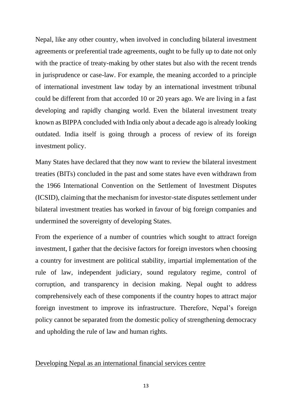Nepal, like any other country, when involved in concluding bilateral investment agreements or preferential trade agreements, ought to be fully up to date not only with the practice of treaty-making by other states but also with the recent trends in jurisprudence or case-law. For example, the meaning accorded to a principle of international investment law today by an international investment tribunal could be different from that accorded 10 or 20 years ago. We are living in a fast developing and rapidly changing world. Even the bilateral investment treaty known as BIPPA concluded with India only about a decade ago is already looking outdated. India itself is going through a process of review of its foreign investment policy.

Many States have declared that they now want to review the bilateral investment treaties (BITs) concluded in the past and some states have even withdrawn from the 1966 International Convention on the Settlement of Investment Disputes (ICSID), claiming that the mechanism for investor-state disputes settlement under bilateral investment treaties has worked in favour of big foreign companies and undermined the sovereignty of developing States.

From the experience of a number of countries which sought to attract foreign investment, I gather that the decisive factors for foreign investors when choosing a country for investment are political stability, impartial implementation of the rule of law, independent judiciary, sound regulatory regime, control of corruption, and transparency in decision making. Nepal ought to address comprehensively each of these components if the country hopes to attract major foreign investment to improve its infrastructure. Therefore, Nepal's foreign policy cannot be separated from the domestic policy of strengthening democracy and upholding the rule of law and human rights.

### Developing Nepal as an international financial services centre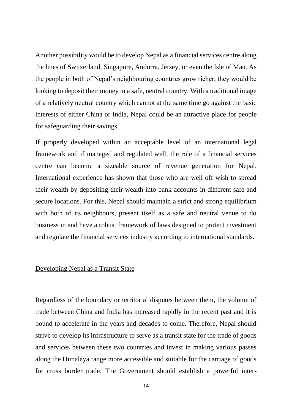Another possibility would be to develop Nepal as a financial services centre along the lines of Switzerland, Singapore, Andorra, Jersey, or even the Isle of Man. As the people in both of Nepal's neighbouring countries grow richer, they would be looking to deposit their money in a safe, neutral country. With a traditional image of a relatively neutral country which cannot at the same time go against the basic interests of either China or India, Nepal could be an attractive place for people for safeguarding their savings.

If properly developed within an acceptable level of an international legal framework and if managed and regulated well, the role of a financial services centre can become a sizeable source of revenue generation for Nepal. International experience has shown that those who are well off wish to spread their wealth by depositing their wealth into bank accounts in different safe and secure locations. For this, Nepal should maintain a strict and strong equilibrium with both of its neighbours, present itself as a safe and neutral venue to do business in and have a robust framework of laws designed to protect investment and regulate the financial services industry according to international standards.

## Developing Nepal as a Transit State

Regardless of the boundary or territorial disputes between them, the volume of trade between China and India has increased rapidly in the recent past and it is bound to accelerate in the years and decades to come. Therefore, Nepal should strive to develop its infrastructure to serve as a transit state for the trade of goods and services between these two countries and invest in making various passes along the Himalaya range more accessible and suitable for the carriage of goods for cross border trade. The Government should establish a powerful inter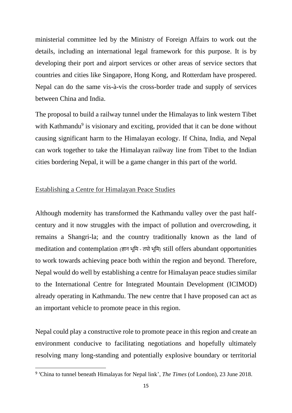ministerial committee led by the Ministry of Foreign Affairs to work out the details, including an international legal framework for this purpose. It is by developing their port and airport services or other areas of service sectors that countries and cities like Singapore, Hong Kong, and Rotterdam have prospered. Nepal can do the same vis-à-vis the cross-border trade and supply of services between China and India.

The proposal to build a railway tunnel under the Himalayas to link western Tibet with Kathmandu<sup>9</sup> is visionary and exciting, provided that it can be done without causing significant harm to the Himalayan ecology. If China, India, and Nepal can work together to take the Himalayan railway line from Tibet to the Indian cities bordering Nepal, it will be a game changer in this part of the world.

### Establishing a Centre for Himalayan Peace Studies

Although modernity has transformed the Kathmandu valley over the past halfcentury and it now struggles with the impact of pollution and overcrowding, it remains a Shangri-la; and the country traditionally known as the land of meditation and contemplation (ज्ञान भूमि - तपो भूमि) still offers abundant opportunities to work towards achieving peace both within the region and beyond. Therefore, Nepal would do well by establishing a centre for Himalayan peace studies similar to the International Centre for Integrated Mountain Development (ICIMOD) already operating in Kathmandu. The new centre that I have proposed can act as an important vehicle to promote peace in this region.

Nepal could play a constructive role to promote peace in this region and create an environment conducive to facilitating negotiations and hopefully ultimately resolving many long-standing and potentially explosive boundary or territorial

<sup>9</sup> 'China to tunnel beneath Himalayas for Nepal link', *The Times* (of London), 23 June 2018.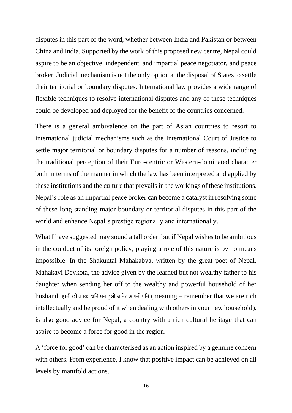disputes in this part of the word, whether between India and Pakistan or between China and India. Supported by the work of this proposed new centre, Nepal could aspire to be an objective, independent, and impartial peace negotiator, and peace broker. Judicial mechanism is not the only option at the disposal of States to settle their territorial or boundary disputes. International law provides a wide range of flexible techniques to resolve international disputes and any of these techniques could be developed and deployed for the benefit of the countries concerned.

There is a general ambivalence on the part of Asian countries to resort to international judicial mechanisms such as the International Court of Justice to settle major territorial or boundary disputes for a number of reasons, including the traditional perception of their Euro-centric or Western-dominated character both in terms of the manner in which the law has been interpreted and applied by these institutions and the culture that prevails in the workings of these institutions. Nepal's role as an impartial peace broker can become a catalyst in resolving some of these long-standing major boundary or territorial disputes in this part of the world and enhance Nepal's prestige regionally and internationally.

What I have suggested may sound a tall order, but if Nepal wishes to be ambitious in the conduct of its foreign policy, playing a role of this nature is by no means impossible. In the Shakuntal Mahakabya, written by the great poet of Nepal, Mahakavi Devkota, the advice given by the learned but not wealthy father to his daughter when sending her off to the wealthy and powerful household of her husband, हामी छौं तपका धनि मन ठुलो जानेर आफ्नो पनि (meaning  $-$  remember that we are rich intellectually and be proud of it when dealing with others in your new household), is also good advice for Nepal, a country with a rich cultural heritage that can aspire to become a force for good in the region.

A 'force for good' can be characterised as an action inspired by a genuine concern with others. From experience, I know that positive impact can be achieved on all levels by manifold actions.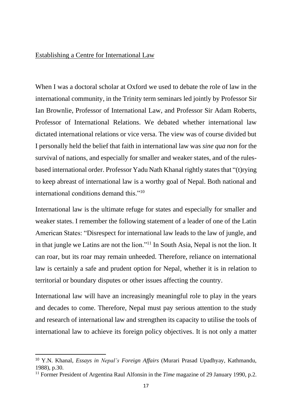### Establishing a Centre for International Law

When I was a doctoral scholar at Oxford we used to debate the role of law in the international community, in the Trinity term seminars led jointly by Professor Sir Ian Brownlie, Professor of International Law, and Professor Sir Adam Roberts, Professor of International Relations. We debated whether international law dictated international relations or vice versa. The view was of course divided but I personally held the belief that faith in international law was *sine qua non* for the survival of nations, and especially for smaller and weaker states, and of the rulesbased international order. Professor Yadu Nath Khanal rightly states that "(t)rying to keep abreast of international law is a worthy goal of Nepal. Both national and international conditions demand this."<sup>10</sup>

International law is the ultimate refuge for states and especially for smaller and weaker states. I remember the following statement of a leader of one of the Latin American States: "Disrespect for international law leads to the law of jungle, and in that jungle we Latins are not the lion."<sup>11</sup> In South Asia, Nepal is not the lion. It can roar, but its roar may remain unheeded. Therefore, reliance on international law is certainly a safe and prudent option for Nepal, whether it is in relation to territorial or boundary disputes or other issues affecting the country.

International law will have an increasingly meaningful role to play in the years and decades to come. Therefore, Nepal must pay serious attention to the study and research of international law and strengthen its capacity to utilise the tools of international law to achieve its foreign policy objectives. It is not only a matter

<sup>10</sup> Y.N. Khanal, *Essays in Nepal's Foreign Affairs* (Murari Prasad Upadhyay, Kathmandu, 1988), p.30.

<sup>&</sup>lt;sup>11</sup> Former President of Argentina Raul Alfonsin in the *Time* magazine of 29 January 1990, p.2.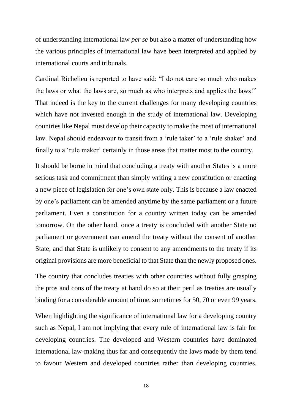of understanding international law *per se* but also a matter of understanding how the various principles of international law have been interpreted and applied by international courts and tribunals.

Cardinal Richelieu is reported to have said: "I do not care so much who makes the laws or what the laws are, so much as who interprets and applies the laws!" That indeed is the key to the current challenges for many developing countries which have not invested enough in the study of international law. Developing countries like Nepal must develop their capacity to make the most of international law. Nepal should endeavour to transit from a 'rule taker' to a 'rule shaker' and finally to a 'rule maker' certainly in those areas that matter most to the country.

It should be borne in mind that concluding a treaty with another States is a more serious task and commitment than simply writing a new constitution or enacting a new piece of legislation for one's own state only. This is because a law enacted by one's parliament can be amended anytime by the same parliament or a future parliament. Even a constitution for a country written today can be amended tomorrow. On the other hand, once a treaty is concluded with another State no parliament or government can amend the treaty without the consent of another State; and that State is unlikely to consent to any amendments to the treaty if its original provisions are more beneficial to that State than the newly proposed ones.

The country that concludes treaties with other countries without fully grasping the pros and cons of the treaty at hand do so at their peril as treaties are usually binding for a considerable amount of time, sometimes for 50, 70 or even 99 years.

When highlighting the significance of international law for a developing country such as Nepal, I am not implying that every rule of international law is fair for developing countries. The developed and Western countries have dominated international law-making thus far and consequently the laws made by them tend to favour Western and developed countries rather than developing countries.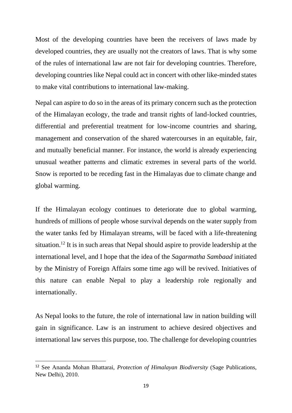Most of the developing countries have been the receivers of laws made by developed countries, they are usually not the creators of laws. That is why some of the rules of international law are not fair for developing countries. Therefore, developing countries like Nepal could act in concert with other like-minded states to make vital contributions to international law-making.

Nepal can aspire to do so in the areas of its primary concern such as the protection of the Himalayan ecology, the trade and transit rights of land-locked countries, differential and preferential treatment for low-income countries and sharing, management and conservation of the shared watercourses in an equitable, fair, and mutually beneficial manner. For instance, the world is already experiencing unusual weather patterns and climatic extremes in several parts of the world. Snow is reported to be receding fast in the Himalayas due to climate change and global warming.

If the Himalayan ecology continues to deteriorate due to global warming, hundreds of millions of people whose survival depends on the water supply from the water tanks fed by Himalayan streams, will be faced with a life-threatening situation.<sup>12</sup> It is in such areas that Nepal should aspire to provide leadership at the international level, and I hope that the idea of the *Sagarmatha Sambaad* initiated by the Ministry of Foreign Affairs some time ago will be revived. Initiatives of this nature can enable Nepal to play a leadership role regionally and internationally.

As Nepal looks to the future, the role of international law in nation building will gain in significance. Law is an instrument to achieve desired objectives and international law serves this purpose, too. The challenge for developing countries

<sup>12</sup> See Ananda Mohan Bhattarai, *Protection of Himalayan Biodiversity* (Sage Publications, New Delhi), 2010.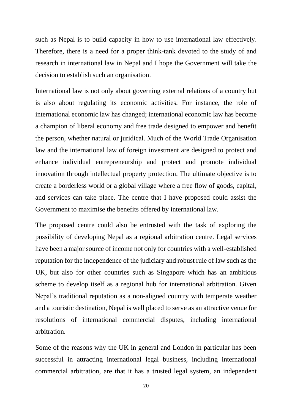such as Nepal is to build capacity in how to use international law effectively. Therefore, there is a need for a proper think-tank devoted to the study of and research in international law in Nepal and I hope the Government will take the decision to establish such an organisation.

International law is not only about governing external relations of a country but is also about regulating its economic activities. For instance, the role of international economic law has changed; international economic law has become a champion of liberal economy and free trade designed to empower and benefit the person, whether natural or juridical. Much of the World Trade Organisation law and the international law of foreign investment are designed to protect and enhance individual entrepreneurship and protect and promote individual innovation through intellectual property protection. The ultimate objective is to create a borderless world or a global village where a free flow of goods, capital, and services can take place. The centre that I have proposed could assist the Government to maximise the benefits offered by international law.

The proposed centre could also be entrusted with the task of exploring the possibility of developing Nepal as a regional arbitration centre. Legal services have been a major source of income not only for countries with a well-established reputation for the independence of the judiciary and robust rule of law such as the UK, but also for other countries such as Singapore which has an ambitious scheme to develop itself as a regional hub for international arbitration. Given Nepal's traditional reputation as a non-aligned country with temperate weather and a touristic destination, Nepal is well placed to serve as an attractive venue for resolutions of international commercial disputes, including international arbitration.

Some of the reasons why the UK in general and London in particular has been successful in attracting international legal business, including international commercial arbitration, are that it has a trusted legal system, an independent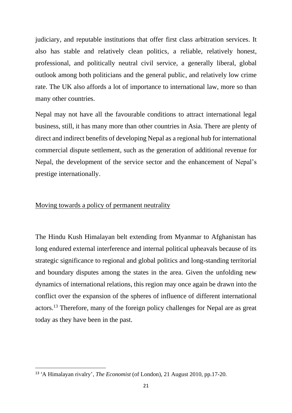judiciary, and reputable institutions that offer first class arbitration services. It also has stable and relatively clean politics, a reliable, relatively honest, professional, and politically neutral civil service, a generally liberal, global outlook among both politicians and the general public, and relatively low crime rate. The UK also affords a lot of importance to international law, more so than many other countries.

Nepal may not have all the favourable conditions to attract international legal business, still, it has many more than other countries in Asia. There are plenty of direct and indirect benefits of developing Nepal as a regional hub for international commercial dispute settlement, such as the generation of additional revenue for Nepal, the development of the service sector and the enhancement of Nepal's prestige internationally.

## Moving towards a policy of permanent neutrality

The Hindu Kush Himalayan belt extending from Myanmar to Afghanistan has long endured external interference and internal political upheavals because of its strategic significance to regional and global politics and long-standing territorial and boundary disputes among the states in the area. Given the unfolding new dynamics of international relations, this region may once again be drawn into the conflict over the expansion of the spheres of influence of different international actors. <sup>13</sup> Therefore, many of the foreign policy challenges for Nepal are as great today as they have been in the past.

<sup>13</sup> 'A Himalayan rivalry', *The Economist* (of London), 21 August 2010, pp.17-20.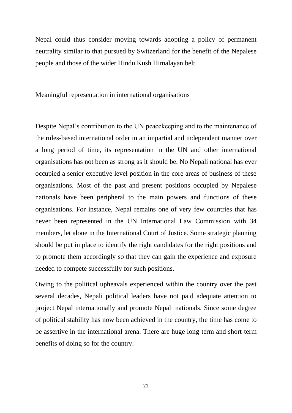Nepal could thus consider moving towards adopting a policy of permanent neutrality similar to that pursued by Switzerland for the benefit of the Nepalese people and those of the wider Hindu Kush Himalayan belt.

### Meaningful representation in international organisations

Despite Nepal's contribution to the UN peacekeeping and to the maintenance of the rules-based international order in an impartial and independent manner over a long period of time, its representation in the UN and other international organisations has not been as strong as it should be. No Nepali national has ever occupied a senior executive level position in the core areas of business of these organisations. Most of the past and present positions occupied by Nepalese nationals have been peripheral to the main powers and functions of these organisations. For instance, Nepal remains one of very few countries that has never been represented in the UN International Law Commission with 34 members, let alone in the International Court of Justice. Some strategic planning should be put in place to identify the right candidates for the right positions and to promote them accordingly so that they can gain the experience and exposure needed to compete successfully for such positions.

Owing to the political upheavals experienced within the country over the past several decades, Nepali political leaders have not paid adequate attention to project Nepal internationally and promote Nepali nationals. Since some degree of political stability has now been achieved in the country, the time has come to be assertive in the international arena. There are huge long-term and short-term benefits of doing so for the country.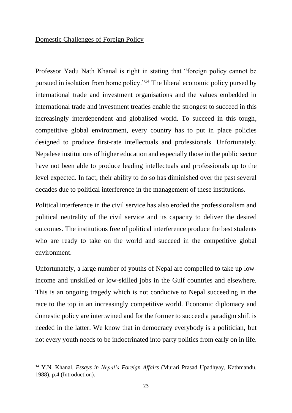# Domestic Challenges of Foreign Policy

Professor Yadu Nath Khanal is right in stating that "foreign policy cannot be pursued in isolation from home policy."<sup>14</sup> The liberal economic policy pursed by international trade and investment organisations and the values embedded in international trade and investment treaties enable the strongest to succeed in this increasingly interdependent and globalised world. To succeed in this tough, competitive global environment, every country has to put in place policies designed to produce first-rate intellectuals and professionals. Unfortunately, Nepalese institutions of higher education and especially those in the public sector have not been able to produce leading intellectuals and professionals up to the level expected. In fact, their ability to do so has diminished over the past several decades due to political interference in the management of these institutions.

Political interference in the civil service has also eroded the professionalism and political neutrality of the civil service and its capacity to deliver the desired outcomes. The institutions free of political interference produce the best students who are ready to take on the world and succeed in the competitive global environment.

Unfortunately, a large number of youths of Nepal are compelled to take up lowincome and unskilled or low-skilled jobs in the Gulf countries and elsewhere. This is an ongoing tragedy which is not conducive to Nepal succeeding in the race to the top in an increasingly competitive world. Economic diplomacy and domestic policy are intertwined and for the former to succeed a paradigm shift is needed in the latter. We know that in democracy everybody is a politician, but not every youth needs to be indoctrinated into party politics from early on in life.

<sup>14</sup> Y.N. Khanal, *Essays in Nepal's Foreign Affairs* (Murari Prasad Upadhyay, Kathmandu, 1988), p.4 (Introduction).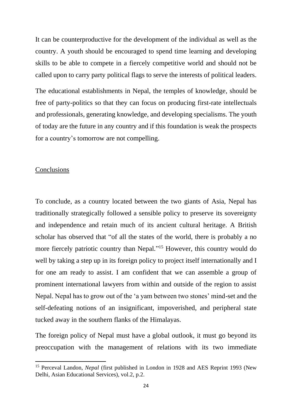It can be counterproductive for the development of the individual as well as the country. A youth should be encouraged to spend time learning and developing skills to be able to compete in a fiercely competitive world and should not be called upon to carry party political flags to serve the interests of political leaders.

The educational establishments in Nepal, the temples of knowledge, should be free of party-politics so that they can focus on producing first-rate intellectuals and professionals, generating knowledge, and developing specialisms. The youth of today are the future in any country and if this foundation is weak the prospects for a country's tomorrow are not compelling.

### Conclusions

To conclude, as a country located between the two giants of Asia, Nepal has traditionally strategically followed a sensible policy to preserve its sovereignty and independence and retain much of its ancient cultural heritage. A British scholar has observed that "of all the states of the world, there is probably a no more fiercely patriotic country than Nepal."<sup>15</sup> However, this country would do well by taking a step up in its foreign policy to project itself internationally and I for one am ready to assist. I am confident that we can assemble a group of prominent international lawyers from within and outside of the region to assist Nepal. Nepal has to grow out of the 'a yam between two stones' mind-set and the self-defeating notions of an insignificant, impoverished, and peripheral state tucked away in the southern flanks of the Himalayas.

The foreign policy of Nepal must have a global outlook, it must go beyond its preoccupation with the management of relations with its two immediate

<sup>15</sup> Perceval Landon, *Nepal* (first published in London in 1928 and AES Reprint 1993 (New Delhi, Asian Educational Services), vol.2, p.2.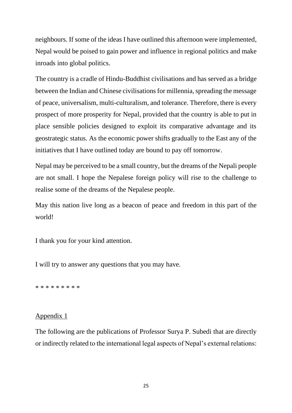neighbours. If some of the ideas I have outlined this afternoon were implemented, Nepal would be poised to gain power and influence in regional politics and make inroads into global politics.

The country is a cradle of Hindu-Buddhist civilisations and has served as a bridge between the Indian and Chinese civilisations for millennia, spreading the message of peace, universalism, multi-culturalism, and tolerance. Therefore, there is every prospect of more prosperity for Nepal, provided that the country is able to put in place sensible policies designed to exploit its comparative advantage and its geostrategic status. As the economic power shifts gradually to the East any of the initiatives that I have outlined today are bound to pay off tomorrow.

Nepal may be perceived to be a small country, but the dreams of the Nepali people are not small. I hope the Nepalese foreign policy will rise to the challenge to realise some of the dreams of the Nepalese people.

May this nation live long as a beacon of peace and freedom in this part of the world!

I thank you for your kind attention.

I will try to answer any questions that you may have.

\* \* \* \* \* \* \* \* \*

## Appendix 1

The following are the publications of Professor Surya P. Subedi that are directly or indirectly related to the international legal aspects of Nepal's external relations: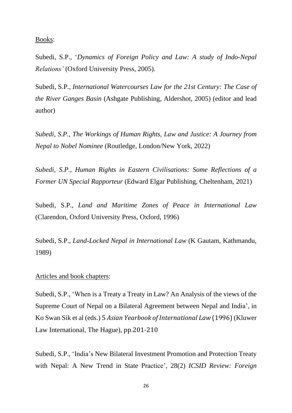Books:

Subedi, S.P., '*Dynamics of Foreign Policy and Law: A study of Indo-Nepal Relations'* (Oxford University Press, 2005).

Subedi, S.P., *International Watercourses Law for the 21st Century: The Case of the River Ganges Basin* (Ashgate Publishing, Aldershot, 2005) (editor and lead author)

*Subedi, S.P., The Workings of Human Rights, Law and Justice: A Journey from Nepal to Nobel Nominee* (Routledge, London/New York, 2022)

*Subedi, S.P., Human Rights in Eastern Civilisations: Some Reflections of a Former UN Special Rapporteur* (Edward Elgar Publishing, Cheltenham, 2021)

Subedi, S.P., *Land and Maritime Zones of Peace in International Law* (Clarendon, Oxford University Press, Oxford, 1996)

Subedi, S.P., *Land-Locked Nepal in International Law* (K Gautam, Kathmandu, 1989)

### Articles and book chapters:

Subedi, S.P., 'When is a Treaty a Treaty in Law? An Analysis of the views of the Supreme Court of Nepal on a Bilateral Agreement between Nepal and India', in Ko Swan Sik et al (eds.) 5 *Asian Yearbook of International Law* (1996)(Kluwer Law International, The Hague), pp.201-210

Subedi, S.P., 'India's New Bilateral Investment Promotion and Protection Treaty with Nepal: A New Trend in State Practice', 28(2) *ICSID Review: Foreign*

26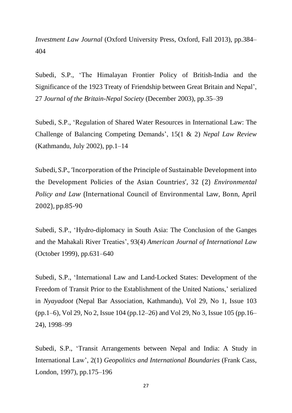*Investment Law Journal* (Oxford University Press, Oxford, Fall 2013), pp.384– 404

Subedi, S.P., 'The Himalayan Frontier Policy of British-India and the Significance of the 1923 Treaty of Friendship between Great Britain and Nepal', 27 *Journal of the Britain-Nepal Society* (December 2003), pp.35–39

Subedi, S.P., 'Regulation of Shared Water Resources in International Law: The Challenge of Balancing Competing Demands', 15(1 & 2) *Nepal Law Review* (Kathmandu, July 2002), pp.1–14

Subedi, S.P., 'Incorporation of the Principle of Sustainable Development into the Development Policies of the Asian Countries', 32 (2) *Environmental Policy and Law* (International Council of Environmental Law, Bonn, April 2002), pp.85-90

Subedi, S.P., 'Hydro-diplomacy in South Asia: The Conclusion of the Ganges and the Mahakali River Treaties', 93(4) *American Journal of International Law* (October 1999), pp.631–640

Subedi, S.P., 'International Law and Land-Locked States: Development of the Freedom of Transit Prior to the Establishment of the United Nations,' serialized in *Nyayadoot* (Nepal Bar Association, Kathmandu), Vol 29, No 1, Issue 103 (pp.1–6), Vol 29, No 2, Issue 104 (pp.12–26) and Vol 29, No 3, Issue 105 (pp.16– 24), 1998–99

Subedi, S.P., 'Transit Arrangements between Nepal and India: A Study in International Law', 2(1) *Geopolitics and International Boundaries* (Frank Cass, London, 1997), pp.175–196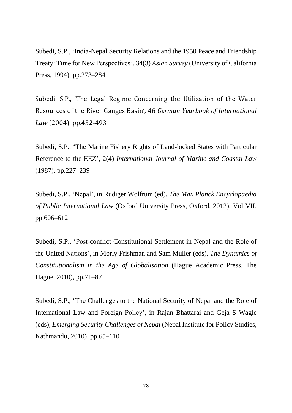Subedi, S.P., 'India-Nepal Security Relations and the 1950 Peace and Friendship Treaty: Time for New Perspectives', 34(3) *Asian Survey* (University of California Press, 1994), pp.273–284

Subedi, S.P., 'The Legal Regime Concerning the Utilization of the Water Resources of the River Ganges Basin', 46 *German Yearbook of International Law* (2004), pp.452-493

Subedi, S.P., 'The Marine Fishery Rights of Land-locked States with Particular Reference to the EEZ', 2(4) *International Journal of Marine and Coastal Law* (1987), pp.227–239

Subedi, S.P., 'Nepal', in Rudiger Wolfrum (ed), *The Max Planck Encyclopaedia of Public International Law* (Oxford University Press, Oxford, 2012), Vol VII, pp.606–612

Subedi, S.P., 'Post-conflict Constitutional Settlement in Nepal and the Role of the United Nations', in Morly Frishman and Sam Muller (eds), *The Dynamics of Constitutionalism in the Age of Globalisation* (Hague Academic Press, The Hague, 2010), pp.71–87

Subedi, S.P., 'The Challenges to the National Security of Nepal and the Role of International Law and Foreign Policy', in Rajan Bhattarai and Geja S Wagle (eds), *Emerging Security Challenges of Nepal* (Nepal Institute for Policy Studies, Kathmandu, 2010), pp.65–110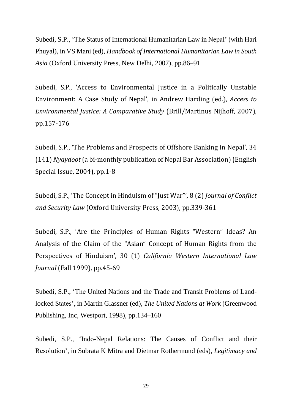Subedi, S.P., 'The Status of International Humanitarian Law in Nepal' (with Hari Phuyal), in VS Mani (ed), *Handbook of International Humanitarian Law in South Asia* (Oxford University Press, New Delhi, 2007), pp.86–91

Subedi, S.P., 'Access to Environmental Justice in a Politically Unstable Environment: A Case Study of Nepal', in Andrew Harding (ed.), *Access to Environmental Justice: A Comparative Study* (Brill/Martinus Nijhoff, 2007), pp.157-176

Subedi, S.P., 'The Problems and Prospects of Offshore Banking in Nepal', 34 (141) *Nyaydoot*(a bi-monthly publication of Nepal Bar Association)(English Special Issue, 2004), pp.1-8

Subedi, S.P., 'The Concept in Hinduism of "Just War"', 8 (2) *Journal of Conflict and Security Law* (Oxford University Press, 2003), pp.339-361

Subedi, S.P., 'Are the Principles of Human Rights "Western" Ideas? An Analysis of the Claim of the "Asian" Concept of Human Rights from the Perspectives of Hinduism', 30 (1) *California Western International Law Journal* (Fall 1999), pp.45-69

Subedi, S.P., 'The United Nations and the Trade and Transit Problems of Landlocked States', in Martin Glassner (ed), *The United Nations at Work* (Greenwood Publishing, Inc, Westport, 1998), pp.134–160

Subedi, S.P., 'Indo-Nepal Relations: The Causes of Conflict and their Resolution', in Subrata K Mitra and Dietmar Rothermund (eds), *Legitimacy and*